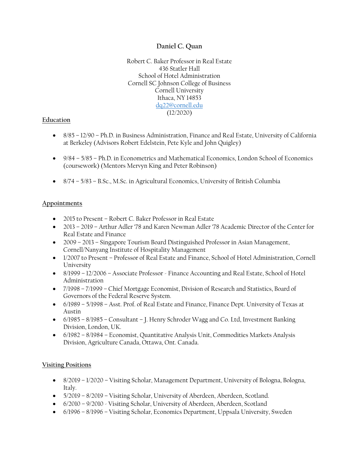## **Daniel C. Quan**

Robert C. Baker Professor in Real Estate 436 Statler Hall School of Hotel Administration Cornell SC Johnson College of Business Cornell University Ithaca, NY 14853 dq22@cornell.edu (12/2020)

## **Education**

- 8/85 12/90 Ph.D. in Business Administration, Finance and Real Estate, University of California at Berkeley (Advisors Robert Edelstein, Pete Kyle and John Quigley)
- 9/84 5/85 Ph.D. in Econometrics and Mathematical Economics, London School of Economics (coursework) (Mentors Mervyn King and Peter Robinson)
- 8/74 5/83 B.Sc., M.Sc. in Agricultural Economics, University of British Columbia

## **Appointments**

- 2015 to Present Robert C. Baker Professor in Real Estate
- 2013 2019 Arthur Adler '78 and Karen Newman Adler '78 Academic Director of the Center for Real Estate and Finance
- 2009 2013 Singapore Tourism Board Distinguished Professor in Asian Management, Cornell/Nanyang Institute of Hospitality Management
- 1/2007 to Present Professor of Real Estate and Finance, School of Hotel Administration, Cornell University
- 8/1999 12/2006 Associate Professor Finance Accounting and Real Estate, School of Hotel Administration
- 7/1998 7/1999 Chief Mortgage Economist, Division of Research and Statistics, Board of Governors of the Federal Reserve System.
- 6/1989 5/1998 Asst. Prof. of Real Estate and Finance, Finance Dept. University of Texas at Austin
- 6/1985 8/1985 Consultant J. Henry Schroder Wagg and Co. Ltd, Investment Banking Division, London, UK.
- 6/1982 8/1984 Economist, Quantitative Analysis Unit, Commodities Markets Analysis Division, Agriculture Canada, Ottawa, Ont. Canada.

## **Visiting Positions**

- 8/2019 1/2020 Visiting Scholar, Management Department, University of Bologna, Bologna, Italy.
- 5/2019 8/2019 Visiting Scholar, University of Aberdeen, Aberdeen, Scotland.
- 6/2010 9/2010 Visiting Scholar, University of Aberdeen, Aberdeen, Scotland
- 6/1996 8/1996 Visiting Scholar, Economics Department, Uppsala University, Sweden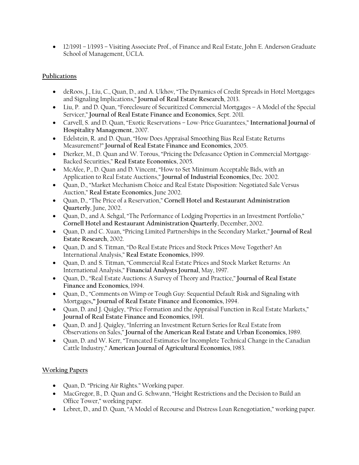• 12/1991 – 1/1993 – Visiting Associate Prof., of Finance and Real Estate, John E. Anderson Graduate School of Management, UCLA.

## **Publications**

- deRoos, J., Liu, C., Quan, D., and A. Ukhov, "The Dynamics of Credit Spreads in Hotel Mortgages and Signaling Implications," **Journal of Real Estate Research**, 2013.
- Liu, P. and D. Quan, "Foreclosure of Securitized Commercial Mortgages A Model of the Special Servicer," **Journal of Real Estate Finance and Economics**, Sept. 2011.
- Carvell, S. and D. Quan, "Exotic Reservations Low-Price Guarantees," **International Journal of Hospitality Management**, 2007.
- Edelstein, R. and D. Quan, "How Does Appraisal Smoothing Bias Real Estate Returns Measurement?" **Journal of Real Estate Finance and Economics**, 2005.
- Dierker, M., D. Quan and W. Torous, "Pricing the Defeasance Option in Commercial Mortgage-Backed Securities," **Real Estate Economics**, 2005.
- McAfee, P., D. Quan and D. Vincent, "How to Set Minimum Acceptable Bids, with an Application to Real Estate Auctions," **Journal of Industrial Economics**, Dec. 2002.
- Quan, D., "Market Mechanism Choice and Real Estate Disposition: Negotiated Sale Versus Auction," **Real Estate Economics**, June 2002.
- Quan, D., "The Price of a Reservation," **Cornell Hotel and Restaurant Administration Quarterly**, June, 2002.
- Quan, D., and A. Sehgal, "The Performance of Lodging Properties in an Investment Portfolio," **Cornell Hotel and Restaurant Administration Quarterly**, December, 2002.
- Quan, D. and C. Xuan, "Pricing Limited Partnerships in the Secondary Market," **Journal of Real Estate Research**, 2002.
- Quan, D. and S. Titman, "Do Real Estate Prices and Stock Prices Move Together? An International Analysis," **Real Estate Economics**, 1999.
- Quan, D. and S. Titman, "Commercial Real Estate Prices and Stock Market Returns: An International Analysis," **Financial Analysts Journal**, May, 1997.
- Quan, D., "Real Estate Auctions: A Survey of Theory and Practice," **Journal of Real Estate Finance and Economics**, 1994.
- Quan, D., "Comments on Wimp or Tough Guy: Sequential Default Risk and Signaling with Mortgages**," Journal of Real Estate Finance and Economics**, 1994.
- Quan, D. and J. Quigley, "Price Formation and the Appraisal Function in Real Estate Markets," **Journal of Real Estate Finance and Economics**, 1991.
- Quan, D. and J. Quigley, "Inferring an Investment Return Series for Real Estate from Observations on Sales," **Journal of the American Real Estate and Urban Economics**, 1989.
- Quan, D. and W. Kerr, "Truncated Estimates for Incomplete Technical Change in the Canadian Cattle Industry," **American Journal of Agricultural Economics**, 1983.

# **Working Papers**

- Quan, D. "Pricing Air Rights." Working paper.
- MacGregor, B., D. Quan and G. Schwann, "Height Restrictions and the Decision to Build an Office Tower," working paper.
- Lebret, D., and D. Quan, "A Model of Recourse and Distress Loan Renegotiation," working paper.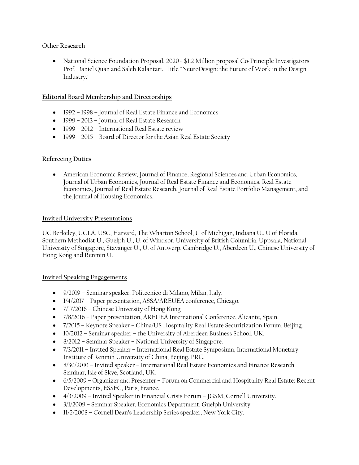## **Other Research**

• National Science Foundation Proposal, 2020 - \$1.2 Million proposal Co-Principle Investigators Prof. Daniel Quan and Saleh Kalantari. Title "NeuroDesign: the Future of Work in the Design Industry."

## **Editorial Board Membership and Directorships**

- 1992 1998 Journal of Real Estate Finance and Economics
- 1999 2013 Journal of Real Estate Research
- 1999 2012 International Real Estate review
- 1999 2015 Board of Director for the Asian Real Estate Society

## **Refereeing Duties**

 American Economic Review, Journal of Finance, Regional Sciences and Urban Economics, Journal of Urban Economics, Journal of Real Estate Finance and Economics, Real Estate Economics, Journal of Real Estate Research, Journal of Real Estate Portfolio Management, and the Journal of Housing Economics.

## **Invited University Presentations**

UC Berkeley, UCLA, USC, Harvard, The Wharton School, U of Michigan, Indiana U., U of Florida, Southern Methodist U., Guelph U., U. of Windsor, University of British Columbia, Uppsala, National University of Singapore, Stavanger U., U. of Antwerp, Cambridge U., Aberdeen U., Chinese University of Hong Kong and Renmin U.

#### **Invited Speaking Engagements**

- 9/2019 Seminar speaker, Politecnico di Milano, Milan, Italy.
- $1/4/2017$  Paper presentation, ASSA/AREUEA conference, Chicago.
- 7/17/2016 Chinese University of Hong Kong
- 7/8/2016 Paper presentation, AREUEA International Conference, Alicante, Spain.
- 7/2015 Keynote Speaker China/US Hospitality Real Estate Securitization Forum, Beijing.
- 10/2012 Seminar speaker the University of Aberdeen Business School, UK.
- 8/2012 Seminar Speaker National University of Singapore.
- $7/3/2011$  Invited Speaker International Real Estate Symposium, International Monetary Institute of Renmin University of China, Beijing, PRC.
- 8/30/2010 Invited speaker International Real Estate Economics and Finance Research Seminar, Isle of Skye, Scotland, UK.
- 6/5/2009 Organizer and Presenter Forum on Commercial and Hospitality Real Estate: Recent Developments, ESSEC, Paris, France.
- 4/3/2009 Invited Speaker in Financial Crisis Forum JGSM, Cornell University.
- 3/1/2009 Seminar Speaker, Economics Department, Guelph University.
- 11/2/2008 Cornell Dean's Leadership Series speaker, New York City.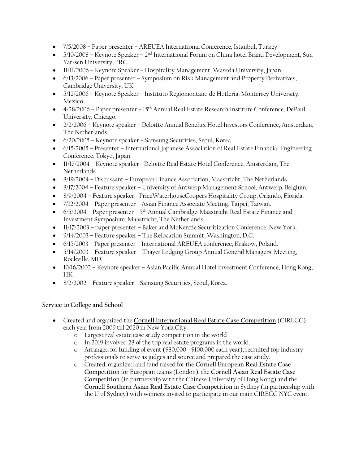- 7/5/2008 Paper presenter AREUEA International Conference, Istanbul, Turkey.
- $\bullet$  5/10/2008 Keynote Speaker 2<sup>nd</sup> International Forum on China hotel Brand Development, Sun Yat-sen University, PRC.
- 11/11/2006 Keynote Speaker Hospitality Management, Waseda University, Japan.
- 6/13/2006 Paper presenter Symposium on Risk Management and Property Derivatives, Cambridge University, UK.
- 5/12/2006 Keynote Speaker Instituto Regiomontano de Hotleria, Monterrey University, Mexico.
- $\bullet$  4/28/2006 Paper presenter 15<sup>th</sup> Annual Real Estate Research Institute Conference, DePaul University, Chicago.
- 2/2/2006 Keynote speaker Deloitte Annual Benelux Hotel Investors Conference, Amsterdam, The Netherlands.
- 6/20/2005 Keynote speaker Samsung Securities, Seoul, Korea.
- 6/15/2005 Presenter International Japanese Association of Real Estate Financial Engineering Conference, Tokyo, Japan.
- 11/17/2004 Keynote speaker Deloitte Real Estate Hotel Conference, Amsterdam, The Netherlands.
- 8/19/2004 Discussant European Finance Association, Maastricht, The Netherlands.
- 8/17/2004 Feature speaker University of Antwerp Management School, Antwerp, Belgium.
- 8/9/2004 Feature speaker PriceWaterhouseCoopers Hospitality Group, Orlando, Florida.
- 7/12/2004 Paper presenter Asian Finance Associate Meeting, Taipei, Taiwan.
- $\bullet$  6/5/2004 Paper presenter 5<sup>th</sup> Annual Cambridge-Maastricht Real Estate Finance and Investment Symposium, Maastricht, The Netherlands.
- 11/17/2003 paper presenter Baker and McKenzie Securitization Conference, New York.
- 9/14/2003 Feature speaker The Relocation Summit, Washington, D.C.
- 6/15/2003 Paper presenter International AREUEA conference, Krakow, Poland.
- 5/14/2003 Feature speaker Thayer Lodging Group Annual General Managers' Meeting, Rockville, MD.
- 10/16/2002 Keynote speaker Asian Pacific Annual Hotel Investment Conference, Hong Kong, HK.
- 8/2/2002 Feature speaker Samsung Securities, Seoul, Korea.

## **Service to College and School**

- Created and organized the **Cornell International Real Estate Case Competition** (CIRECC) each year from 2009 till 2020 in New York City.
	- o Largest real estate case study competition in the world
	- o In 2019 involved 28 of the top real estate programs in the world.
	- o Arranged for funding of event (\$80,000 \$100,000 each year), recruited top industry professionals to serve as judges and source and prepared the case study.
	- o Created, organized and fund raised for the **Cornell European Real Estate Case Competition** for European teams (London), the **Cornell Asian Real Estate Case Competition** (in partnership with the Chinese University of Hong Kong) and the **Cornell Southern Asian Real Estate Case Competition** in Sydney (in partnership with the U of Sydney) with winners invited to participate in our main CIRECC NYC event.